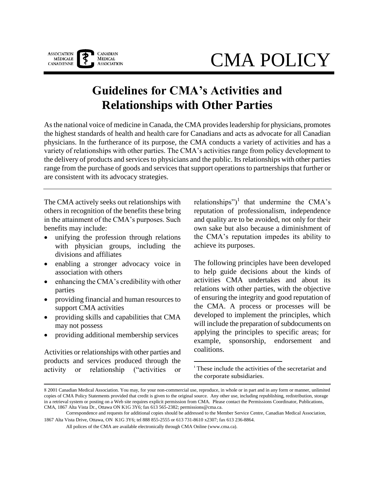

# CMA POLICY

# **Guidelines for CMA's Activities and Relationships with Other Parties**

As the national voice of medicine in Canada, the CMA provides leadership for physicians, promotes the highest standards of health and health care for Canadians and acts as advocate for all Canadian physicians. In the furtherance of its purpose, the CMA conducts a variety of activities and has a variety of relationships with other parties. The CMA's activities range from policy development to the delivery of products and services to physicians and the public. Its relationships with other parties range from the purchase of goods and services that support operations to partnerships that further or are consistent with its advocacy strategies.

The CMA actively seeks out relationships with others in recognition of the benefits these bring in the attainment of the CMA's purposes. Such benefits may include:

- unifying the profession through relations with physician groups, including the divisions and affiliates
- enabling a stronger advocacy voice in association with others
- enhancing the CMA's credibility with other parties
- providing financial and human resources to support CMA activities
- providing skills and capabilities that CMA may not possess
- providing additional membership services

Activities or relationships with other parties and products and services produced through the activity or relationship ("activities or

relationships")<sup>1</sup> that undermine the CMA's reputation of professionalism, independence and quality are to be avoided, not only for their own sake but also because a diminishment of the CMA's reputation impedes its ability to achieve its purposes.

The following principles have been developed to help guide decisions about the kinds of activities CMA undertakes and about its relations with other parties, with the objective of ensuring the integrity and good reputation of the CMA. A process or processes will be developed to implement the principles, which will include the preparation of subdocuments on applying the principles to specific areas; for example, sponsorship, endorsement and coalitions.

<sup>1</sup> These include the activities of the secretariat and the corporate subsidiaries.

 $\overline{a}$ 

All polices of the CMA are available electronically through CMA Online (www.cma.ca).

 <sup>2001</sup> Canadian Medical Association. You may, for your non-commercial use, reproduce, in whole or in part and in any form or manner, unlimited copies of CMA Policy Statements provided that credit is given to the original source. Any other use, including republishing, redistribution, storage in a retrieval system or posting on a Web site requires explicit permission from CMA. Please contact the Permissions Coordinator, Publications, CMA, 1867 Alta Vista Dr., Ottawa ON K1G 3Y6; fax 613 565-2382; permissions@cma.ca.

Correspondence and requests for additional copies should be addressed to the Member Service Centre, Canadian Medical Association, 1867 Alta Vista Drive, Ottawa, ON K1G 3Y6; tel 888 855-2555 or 613 731-8610 x2307; fax 613 236-8864.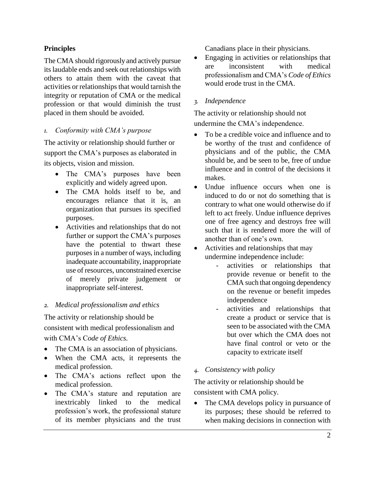#### **Principles**

The CMA should rigorously and actively pursue its laudable ends and seek out relationships with others to attain them with the caveat that activities or relationships that would tarnish the integrity or reputation of CMA or the medical profession or that would diminish the trust placed in them should be avoided.

#### *1. Conformity with CMA's purpose*

The activity or relationship should further or support the CMA's purposes as elaborated in its objects, vision and mission.

- The CMA's purposes have been explicitly and widely agreed upon.
- The CMA holds itself to be, and encourages reliance that it is, an organization that pursues its specified purposes.
- Activities and relationships that do not further or support the CMA's purposes have the potential to thwart these purposes in a number of ways, including inadequate accountability, inappropriate use of resources, unconstrained exercise of merely private judgement or inappropriate self-interest.

#### *2. Medical professionalism and ethics*

The activity or relationship should be consistent with medical professionalism and with CMA's C*ode of Ethics.*

- The CMA is an association of physicians.
- When the CMA acts, it represents the medical profession.
- The CMA's actions reflect upon the medical profession.
- The CMA's stature and reputation are inextricably linked to the medical profession's work, the professional stature of its member physicians and the trust

Canadians place in their physicians.

 Engaging in activities or relationships that are inconsistent with medical professionalism and CMA's *Code of Ethics* would erode trust in the CMA.

#### *3. Independence*

The activity or relationship should not undermine the CMA's independence.

- To be a credible voice and influence and to be worthy of the trust and confidence of physicians and of the public, the CMA should be, and be seen to be, free of undue influence and in control of the decisions it makes.
- Undue influence occurs when one is induced to do or not do something that is contrary to what one would otherwise do if left to act freely. Undue influence deprives one of free agency and destroys free will such that it is rendered more the will of another than of one's own.
- Activities and relationships that may undermine independence include:
	- activities or relationships that provide revenue or benefit to the CMA such that ongoing dependency on the revenue or benefit impedes independence
	- activities and relationships that create a product or service that is seen to be associated with the CMA but over which the CMA does not have final control or veto or the capacity to extricate itself

#### *4. Consistency with policy*

The activity or relationship should be consistent with CMA policy.

• The CMA develops policy in pursuance of its purposes; these should be referred to when making decisions in connection with